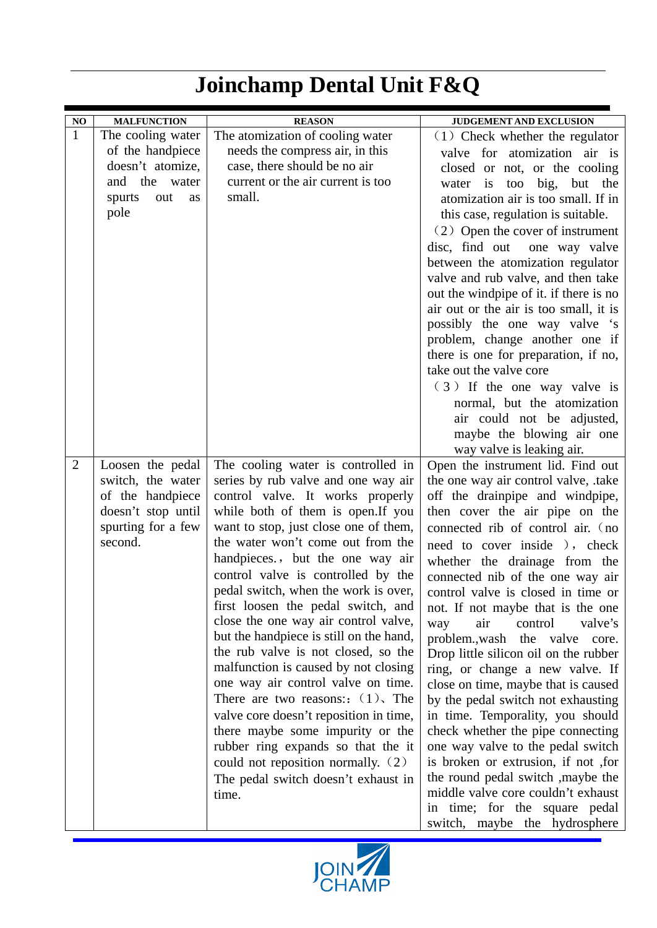| NO.            | <b>MALFUNCTION</b>            | <b>REASON</b>                                                              | <b>JUDGEMENT AND EXCLUSION</b>                                          |
|----------------|-------------------------------|----------------------------------------------------------------------------|-------------------------------------------------------------------------|
| $\mathbf{1}$   | The cooling water             | The atomization of cooling water                                           | $(1)$ Check whether the regulator                                       |
|                | of the handpiece              | needs the compress air, in this                                            | valve for atomization air is                                            |
|                | doesn't atomize,              | case, there should be no air                                               | closed or not, or the cooling                                           |
|                | the<br>water<br>and           | current or the air current is too                                          | big,<br>but the<br>water is<br>too                                      |
|                | spurts<br>out<br>as           | small.                                                                     | atomization air is too small. If in                                     |
|                | pole                          |                                                                            | this case, regulation is suitable.                                      |
|                |                               |                                                                            | (2) Open the cover of instrument                                        |
|                |                               |                                                                            | disc, find out<br>one way valve                                         |
|                |                               |                                                                            | between the atomization regulator                                       |
|                |                               |                                                                            | valve and rub valve, and then take                                      |
|                |                               |                                                                            | out the windpipe of it. if there is no                                  |
|                |                               |                                                                            | air out or the air is too small, it is                                  |
|                |                               |                                                                            | possibly the one way valve 's                                           |
|                |                               |                                                                            | problem, change another one if                                          |
|                |                               |                                                                            | there is one for preparation, if no,                                    |
|                |                               |                                                                            | take out the valve core                                                 |
|                |                               |                                                                            | (3) If the one way valve is                                             |
|                |                               |                                                                            | normal, but the atomization                                             |
|                |                               |                                                                            | air could not be adjusted,                                              |
|                |                               |                                                                            | maybe the blowing air one                                               |
|                |                               |                                                                            | way valve is leaking air.                                               |
| $\overline{2}$ | Loosen the pedal              | The cooling water is controlled in                                         | Open the instrument lid. Find out                                       |
|                | switch, the water             | series by rub valve and one way air                                        | the one way air control valve, .take                                    |
|                | of the handpiece              | control valve. It works properly                                           | off the drainpipe and windpipe,                                         |
|                | doesn't stop until            | while both of them is open. If you                                         | then cover the air pipe on the                                          |
|                | spurting for a few<br>second. | want to stop, just close one of them,<br>the water won't come out from the | connected rib of control air. (no                                       |
|                |                               | handpieces., but the one way air                                           | need to cover inside ), check                                           |
|                |                               | control valve is controlled by the                                         | whether the drainage from the                                           |
|                |                               | pedal switch, when the work is over,                                       | connected nib of the one way air                                        |
|                |                               | first loosen the pedal switch, and                                         | control valve is closed in time or<br>not. If not maybe that is the one |
|                |                               | close the one way air control valve,                                       | valve's<br>way<br>air<br>control                                        |
|                |                               | but the handpiece is still on the hand,                                    | problem., wash the valve core.                                          |
|                |                               | the rub valve is not closed, so the                                        | Drop little silicon oil on the rubber                                   |
|                |                               | malfunction is caused by not closing                                       | ring, or change a new valve. If                                         |
|                |                               | one way air control valve on time.                                         | close on time, maybe that is caused                                     |
|                |                               | There are two reasons: $(1)$ , The                                         | by the pedal switch not exhausting                                      |
|                |                               | valve core doesn't reposition in time,                                     | in time. Temporality, you should                                        |
|                |                               | there maybe some impurity or the                                           | check whether the pipe connecting                                       |
|                |                               | rubber ring expands so that the it                                         | one way valve to the pedal switch                                       |
|                |                               | could not reposition normally. (2)                                         | is broken or extrusion, if not , for                                    |
|                |                               | The pedal switch doesn't exhaust in                                        | the round pedal switch , maybe the                                      |
|                |                               | time.                                                                      | middle valve core couldn't exhaust                                      |
|                |                               |                                                                            | in time; for the square pedal                                           |
|                |                               |                                                                            | switch, maybe the hydrosphere                                           |

## **Joinchamp Dental Unit F&Q**

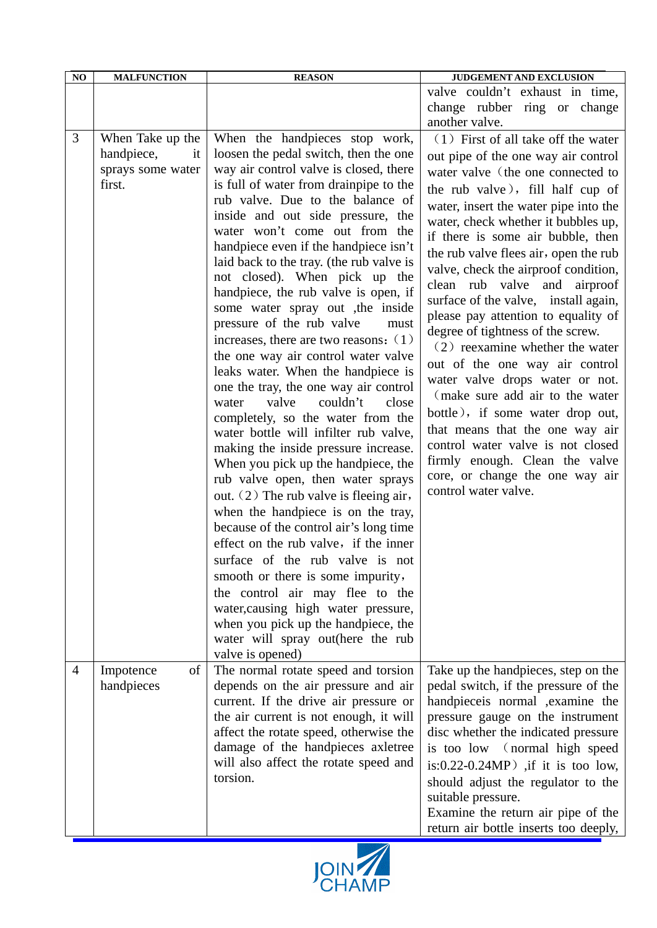| NO             | <b>MALFUNCTION</b>                                                   | <b>REASON</b>                                                                                                                                                                                                                                                                                                                                                                                                                                                                                                                                                                                                                                                                                                                                                                                                                                                                                                                                                                                                                                                                                                                                                                                                                                                                                                                                  | <b>JUDGEMENT AND EXCLUSION</b>                                                                                                                                                                                                                                                                                                                                                                                                                                                                                                                                                                                                                                                                                                                                                                                                                                         |
|----------------|----------------------------------------------------------------------|------------------------------------------------------------------------------------------------------------------------------------------------------------------------------------------------------------------------------------------------------------------------------------------------------------------------------------------------------------------------------------------------------------------------------------------------------------------------------------------------------------------------------------------------------------------------------------------------------------------------------------------------------------------------------------------------------------------------------------------------------------------------------------------------------------------------------------------------------------------------------------------------------------------------------------------------------------------------------------------------------------------------------------------------------------------------------------------------------------------------------------------------------------------------------------------------------------------------------------------------------------------------------------------------------------------------------------------------|------------------------------------------------------------------------------------------------------------------------------------------------------------------------------------------------------------------------------------------------------------------------------------------------------------------------------------------------------------------------------------------------------------------------------------------------------------------------------------------------------------------------------------------------------------------------------------------------------------------------------------------------------------------------------------------------------------------------------------------------------------------------------------------------------------------------------------------------------------------------|
|                |                                                                      |                                                                                                                                                                                                                                                                                                                                                                                                                                                                                                                                                                                                                                                                                                                                                                                                                                                                                                                                                                                                                                                                                                                                                                                                                                                                                                                                                | valve couldn't exhaust in time,<br>change rubber ring or change                                                                                                                                                                                                                                                                                                                                                                                                                                                                                                                                                                                                                                                                                                                                                                                                        |
|                |                                                                      |                                                                                                                                                                                                                                                                                                                                                                                                                                                                                                                                                                                                                                                                                                                                                                                                                                                                                                                                                                                                                                                                                                                                                                                                                                                                                                                                                | another valve.                                                                                                                                                                                                                                                                                                                                                                                                                                                                                                                                                                                                                                                                                                                                                                                                                                                         |
| 3              | When Take up the<br>handpiece,<br>it.<br>sprays some water<br>first. | When the handpieces stop work,<br>loosen the pedal switch, then the one<br>way air control valve is closed, there<br>is full of water from drainpipe to the<br>rub valve. Due to the balance of<br>inside and out side pressure, the<br>water won't come out from the<br>handpiece even if the handpiece isn't<br>laid back to the tray. (the rub valve is<br>not closed). When pick up the<br>handpiece, the rub valve is open, if<br>some water spray out , the inside<br>pressure of the rub valve<br>must<br>increases, there are two reasons: $(1)$<br>the one way air control water valve<br>leaks water. When the handpiece is<br>one the tray, the one way air control<br>valve<br>couldn't<br>water<br>close<br>completely, so the water from the<br>water bottle will infilter rub valve,<br>making the inside pressure increase.<br>When you pick up the handpiece, the<br>rub valve open, then water sprays<br>out. $(2)$ The rub valve is fleeing air,<br>when the handpiece is on the tray,<br>because of the control air's long time<br>effect on the rub valve, if the inner<br>surface of the rub valve is not<br>smooth or there is some impurity,<br>the control air may flee to the<br>water, causing high water pressure,<br>when you pick up the handpiece, the<br>water will spray out(here the rub<br>valve is opened) | (1) First of all take off the water<br>out pipe of the one way air control<br>water valve (the one connected to<br>the rub valve), fill half cup of<br>water, insert the water pipe into the<br>water, check whether it bubbles up,<br>if there is some air bubble, then<br>the rub valve flees air, open the rub<br>valve, check the airproof condition,<br>clean rub valve and<br>airproof<br>surface of the valve, install again,<br>please pay attention to equality of<br>degree of tightness of the screw.<br>$(2)$ reexamine whether the water<br>out of the one way air control<br>water valve drops water or not.<br>(make sure add air to the water<br>bottle), if some water drop out,<br>that means that the one way air<br>control water valve is not closed<br>firmly enough. Clean the valve<br>core, or change the one way air<br>control water valve. |
| $\overline{4}$ | of<br>Impotence<br>handpieces                                        | The normal rotate speed and torsion<br>depends on the air pressure and air<br>current. If the drive air pressure or<br>the air current is not enough, it will<br>affect the rotate speed, otherwise the<br>damage of the handpieces axletree<br>will also affect the rotate speed and<br>torsion.                                                                                                                                                                                                                                                                                                                                                                                                                                                                                                                                                                                                                                                                                                                                                                                                                                                                                                                                                                                                                                              | Take up the handpieces, step on the<br>pedal switch, if the pressure of the<br>handpieceis normal , examine the<br>pressure gauge on the instrument<br>disc whether the indicated pressure<br>is too low (normal high speed<br>is: $0.22 - 0.24 MP$ ) if it is too low,<br>should adjust the regulator to the<br>suitable pressure.<br>Examine the return air pipe of the<br>return air bottle inserts too deeply,                                                                                                                                                                                                                                                                                                                                                                                                                                                     |

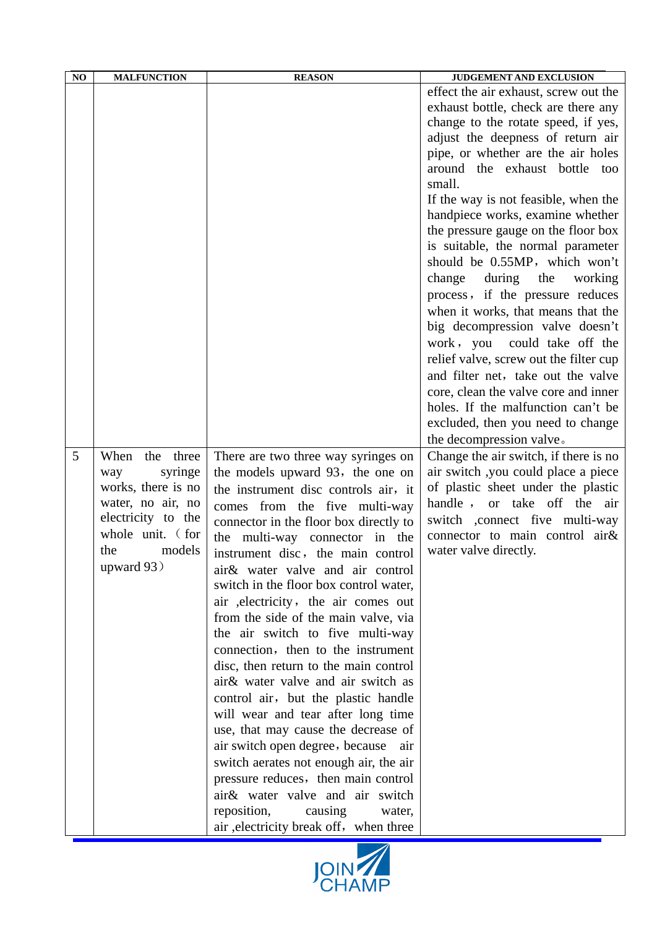| NO | <b>MALFUNCTION</b>                                                                                                                                   | <b>REASON</b>                                                                                                                                                                                                                                                                                                                                                                                                                                                                                                                                                                                                                                                                                                                                          | JUDGEMENT AND EXCLUSION                                                                                                                                                                                                                                                                                                                                                                                                                                                                                                                                                                                                                                                                                                                                                                                                                                                                                                                                                                                                                                                                                |
|----|------------------------------------------------------------------------------------------------------------------------------------------------------|--------------------------------------------------------------------------------------------------------------------------------------------------------------------------------------------------------------------------------------------------------------------------------------------------------------------------------------------------------------------------------------------------------------------------------------------------------------------------------------------------------------------------------------------------------------------------------------------------------------------------------------------------------------------------------------------------------------------------------------------------------|--------------------------------------------------------------------------------------------------------------------------------------------------------------------------------------------------------------------------------------------------------------------------------------------------------------------------------------------------------------------------------------------------------------------------------------------------------------------------------------------------------------------------------------------------------------------------------------------------------------------------------------------------------------------------------------------------------------------------------------------------------------------------------------------------------------------------------------------------------------------------------------------------------------------------------------------------------------------------------------------------------------------------------------------------------------------------------------------------------|
| 5  | When the three<br>syringe<br>way<br>works, there is no<br>water, no air, no<br>electricity to the<br>whole unit. (for<br>models<br>the<br>upward 93) | There are two three way syringes on<br>the models upward 93, the one on<br>the instrument disc controls air, it<br>comes from the five multi-way<br>connector in the floor box directly to<br>the multi-way connector in the<br>instrument disc, the main control<br>air& water valve and air control<br>switch in the floor box control water,<br>air , electricity, the air comes out<br>from the side of the main valve, via<br>the air switch to five multi-way<br>connection, then to the instrument<br>disc, then return to the main control<br>air& water valve and air switch as<br>control air, but the plastic handle<br>will wear and tear after long time<br>use, that may cause the decrease of<br>air switch open degree, because<br>air | effect the air exhaust, screw out the<br>exhaust bottle, check are there any<br>change to the rotate speed, if yes,<br>adjust the deepness of return air<br>pipe, or whether are the air holes<br>around the exhaust bottle too<br>small.<br>If the way is not feasible, when the<br>handpiece works, examine whether<br>the pressure gauge on the floor box<br>is suitable, the normal parameter<br>should be 0.55MP, which won't<br>change<br>during<br>the<br>working<br>process, if the pressure reduces<br>when it works, that means that the<br>big decompression valve doesn't<br>work, you could take off the<br>relief valve, screw out the filter cup<br>and filter net, take out the valve<br>core, clean the valve core and inner<br>holes. If the malfunction can't be<br>excluded, then you need to change<br>the decompression valve.<br>Change the air switch, if there is no<br>air switch ,you could place a piece<br>of plastic sheet under the plastic<br>handle, or take off the air<br>switch ,connect five multi-way<br>connector to main control air&<br>water valve directly. |
|    |                                                                                                                                                      | switch aerates not enough air, the air<br>pressure reduces, then main control<br>air& water valve and air switch<br>reposition,<br>causing<br>water,<br>air , electricity break off, when three                                                                                                                                                                                                                                                                                                                                                                                                                                                                                                                                                        |                                                                                                                                                                                                                                                                                                                                                                                                                                                                                                                                                                                                                                                                                                                                                                                                                                                                                                                                                                                                                                                                                                        |

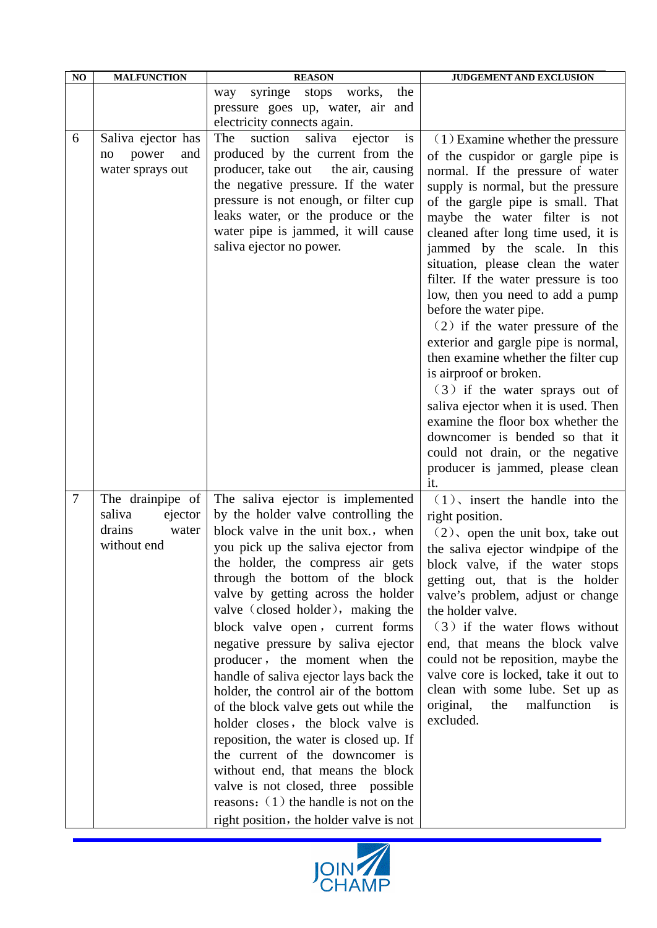| NO | <b>MALFUNCTION</b>                                                      | <b>REASON</b>                                                                                                                                                                                                                                                                                                                                                                                                                                                                                                                                                                                                                                                                                                                                                                                                                       | JUDGEMENT AND EXCLUSION                                                                                                                                                                                                                                                                                                                                                                                                                                                                                                                                                                                                                                                                                                                                                                                                 |
|----|-------------------------------------------------------------------------|-------------------------------------------------------------------------------------------------------------------------------------------------------------------------------------------------------------------------------------------------------------------------------------------------------------------------------------------------------------------------------------------------------------------------------------------------------------------------------------------------------------------------------------------------------------------------------------------------------------------------------------------------------------------------------------------------------------------------------------------------------------------------------------------------------------------------------------|-------------------------------------------------------------------------------------------------------------------------------------------------------------------------------------------------------------------------------------------------------------------------------------------------------------------------------------------------------------------------------------------------------------------------------------------------------------------------------------------------------------------------------------------------------------------------------------------------------------------------------------------------------------------------------------------------------------------------------------------------------------------------------------------------------------------------|
|    |                                                                         | syringe<br>works,<br>stops<br>the<br>way<br>pressure goes up, water, air and<br>electricity connects again.                                                                                                                                                                                                                                                                                                                                                                                                                                                                                                                                                                                                                                                                                                                         |                                                                                                                                                                                                                                                                                                                                                                                                                                                                                                                                                                                                                                                                                                                                                                                                                         |
| 6  | Saliva ejector has<br>power<br>and<br>no<br>water sprays out            | The<br>suction<br>saliva<br>ejector<br><sub>1s</sub><br>produced by the current from the<br>producer, take out<br>the air, causing<br>the negative pressure. If the water<br>pressure is not enough, or filter cup<br>leaks water, or the produce or the<br>water pipe is jammed, it will cause<br>saliva ejector no power.                                                                                                                                                                                                                                                                                                                                                                                                                                                                                                         | $(1)$ Examine whether the pressure<br>of the cuspidor or gargle pipe is<br>normal. If the pressure of water<br>supply is normal, but the pressure<br>of the gargle pipe is small. That<br>maybe the water filter is not<br>cleaned after long time used, it is<br>jammed by the scale. In this<br>situation, please clean the water<br>filter. If the water pressure is too<br>low, then you need to add a pump<br>before the water pipe.<br>$(2)$ if the water pressure of the<br>exterior and gargle pipe is normal,<br>then examine whether the filter cup<br>is airproof or broken.<br>(3) if the water sprays out of<br>saliva ejector when it is used. Then<br>examine the floor box whether the<br>downcomer is bended so that it<br>could not drain, or the negative<br>producer is jammed, please clean<br>it. |
| 7  | The drainpipe of<br>saliva<br>ejector<br>drains<br>water<br>without end | The saliva ejector is implemented<br>by the holder valve controlling the<br>block valve in the unit box., when<br>you pick up the saliva ejector from<br>the holder, the compress air gets<br>through the bottom of the block<br>valve by getting across the holder<br>valve (closed holder), making the<br>block valve open, current forms<br>negative pressure by saliva ejector<br>producer, the moment when the<br>handle of saliva ejector lays back the<br>holder, the control air of the bottom<br>of the block valve gets out while the<br>holder closes, the block valve is<br>reposition, the water is closed up. If<br>the current of the downcomer is<br>without end, that means the block<br>valve is not closed, three possible<br>reasons: $(1)$ the handle is not on the<br>right position, the holder valve is not | $(1)$ , insert the handle into the<br>right position.<br>$(2)$ , open the unit box, take out<br>the saliva ejector windpipe of the<br>block valve, if the water stops<br>getting out, that is the holder<br>valve's problem, adjust or change<br>the holder valve.<br>(3) if the water flows without<br>end, that means the block valve<br>could not be reposition, maybe the<br>valve core is locked, take it out to<br>clean with some lube. Set up as<br>malfunction<br>original,<br>the<br>1S<br>excluded.                                                                                                                                                                                                                                                                                                          |

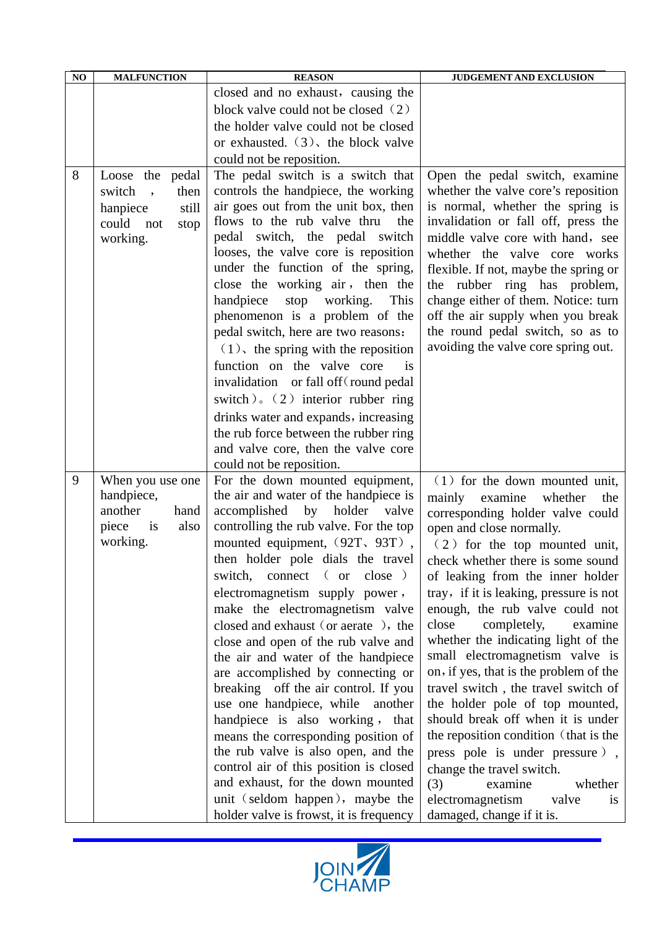| NO | <b>MALFUNCTION</b>    |       | <b>REASON</b>                                                                                                                                                                                                                                                                                                                                      | <b>JUDGEMENT AND EXCLUSION</b>                                                                                                                                                                                                                                                                                                                                                                         |
|----|-----------------------|-------|----------------------------------------------------------------------------------------------------------------------------------------------------------------------------------------------------------------------------------------------------------------------------------------------------------------------------------------------------|--------------------------------------------------------------------------------------------------------------------------------------------------------------------------------------------------------------------------------------------------------------------------------------------------------------------------------------------------------------------------------------------------------|
|    |                       |       | closed and no exhaust, causing the                                                                                                                                                                                                                                                                                                                 |                                                                                                                                                                                                                                                                                                                                                                                                        |
|    |                       |       | block valve could not be closed (2)                                                                                                                                                                                                                                                                                                                |                                                                                                                                                                                                                                                                                                                                                                                                        |
|    |                       |       | the holder valve could not be closed                                                                                                                                                                                                                                                                                                               |                                                                                                                                                                                                                                                                                                                                                                                                        |
|    |                       |       | or exhausted. $(3)$ , the block valve                                                                                                                                                                                                                                                                                                              |                                                                                                                                                                                                                                                                                                                                                                                                        |
|    |                       |       | could not be reposition.                                                                                                                                                                                                                                                                                                                           |                                                                                                                                                                                                                                                                                                                                                                                                        |
| 8  | Loose the pedal       |       | The pedal switch is a switch that                                                                                                                                                                                                                                                                                                                  | Open the pedal switch, examine                                                                                                                                                                                                                                                                                                                                                                         |
|    | switch<br>$\cdot$     | then  | controls the handpiece, the working                                                                                                                                                                                                                                                                                                                | whether the valve core's reposition                                                                                                                                                                                                                                                                                                                                                                    |
|    | hanpiece              | still | air goes out from the unit box, then                                                                                                                                                                                                                                                                                                               | is normal, whether the spring is                                                                                                                                                                                                                                                                                                                                                                       |
|    | could<br>not          | stop  | flows to the rub valve thru<br>the                                                                                                                                                                                                                                                                                                                 | invalidation or fall off, press the                                                                                                                                                                                                                                                                                                                                                                    |
|    | working.              |       | pedal switch, the pedal switch<br>looses, the valve core is reposition                                                                                                                                                                                                                                                                             | middle valve core with hand, see                                                                                                                                                                                                                                                                                                                                                                       |
|    |                       |       | under the function of the spring,                                                                                                                                                                                                                                                                                                                  | whether the valve core works<br>flexible. If not, maybe the spring or                                                                                                                                                                                                                                                                                                                                  |
|    |                       |       | close the working air, then the                                                                                                                                                                                                                                                                                                                    | the rubber ring has problem,                                                                                                                                                                                                                                                                                                                                                                           |
|    |                       |       | handpiece<br>working.<br>This<br>stop                                                                                                                                                                                                                                                                                                              | change either of them. Notice: turn                                                                                                                                                                                                                                                                                                                                                                    |
|    |                       |       | phenomenon is a problem of the                                                                                                                                                                                                                                                                                                                     | off the air supply when you break                                                                                                                                                                                                                                                                                                                                                                      |
|    |                       |       | pedal switch, here are two reasons:                                                                                                                                                                                                                                                                                                                | the round pedal switch, so as to                                                                                                                                                                                                                                                                                                                                                                       |
|    |                       |       | $(1)$ , the spring with the reposition                                                                                                                                                                                                                                                                                                             | avoiding the valve core spring out.                                                                                                                                                                                                                                                                                                                                                                    |
|    |                       |       | function on the valve core<br>is                                                                                                                                                                                                                                                                                                                   |                                                                                                                                                                                                                                                                                                                                                                                                        |
|    |                       |       | invalidation or fall off (round pedal                                                                                                                                                                                                                                                                                                              |                                                                                                                                                                                                                                                                                                                                                                                                        |
|    |                       |       | switch). $(2)$ interior rubber ring                                                                                                                                                                                                                                                                                                                |                                                                                                                                                                                                                                                                                                                                                                                                        |
|    |                       |       | drinks water and expands, increasing                                                                                                                                                                                                                                                                                                               |                                                                                                                                                                                                                                                                                                                                                                                                        |
|    |                       |       | the rub force between the rubber ring                                                                                                                                                                                                                                                                                                              |                                                                                                                                                                                                                                                                                                                                                                                                        |
|    |                       |       | and valve core, then the valve core                                                                                                                                                                                                                                                                                                                |                                                                                                                                                                                                                                                                                                                                                                                                        |
|    |                       |       | could not be reposition.                                                                                                                                                                                                                                                                                                                           |                                                                                                                                                                                                                                                                                                                                                                                                        |
| 9  | When you use one      |       | For the down mounted equipment,                                                                                                                                                                                                                                                                                                                    | $(1)$ for the down mounted unit,                                                                                                                                                                                                                                                                                                                                                                       |
|    | handpiece,<br>another | hand  | the air and water of the handpiece is<br>by holder<br>accomplished<br>valve                                                                                                                                                                                                                                                                        | mainly<br>examine<br>whether<br>the                                                                                                                                                                                                                                                                                                                                                                    |
|    | piece<br>is           | also  | controlling the rub valve. For the top                                                                                                                                                                                                                                                                                                             | corresponding holder valve could<br>open and close normally.                                                                                                                                                                                                                                                                                                                                           |
|    | working.              |       | mounted equipment, (92T, 93T),                                                                                                                                                                                                                                                                                                                     | (2) for the top mounted unit,                                                                                                                                                                                                                                                                                                                                                                          |
|    |                       |       |                                                                                                                                                                                                                                                                                                                                                    |                                                                                                                                                                                                                                                                                                                                                                                                        |
|    |                       |       | connect (or<br>$close$ )<br>switch,                                                                                                                                                                                                                                                                                                                |                                                                                                                                                                                                                                                                                                                                                                                                        |
|    |                       |       |                                                                                                                                                                                                                                                                                                                                                    | tray, if it is leaking, pressure is not                                                                                                                                                                                                                                                                                                                                                                |
|    |                       |       | make the electromagnetism valve                                                                                                                                                                                                                                                                                                                    | enough, the rub valve could not                                                                                                                                                                                                                                                                                                                                                                        |
|    |                       |       | closed and exhaust (or aerate), the                                                                                                                                                                                                                                                                                                                | close<br>completely,<br>examine                                                                                                                                                                                                                                                                                                                                                                        |
|    |                       |       | close and open of the rub valve and                                                                                                                                                                                                                                                                                                                | whether the indicating light of the                                                                                                                                                                                                                                                                                                                                                                    |
|    |                       |       | the air and water of the handpiece                                                                                                                                                                                                                                                                                                                 |                                                                                                                                                                                                                                                                                                                                                                                                        |
|    |                       |       |                                                                                                                                                                                                                                                                                                                                                    |                                                                                                                                                                                                                                                                                                                                                                                                        |
|    |                       |       |                                                                                                                                                                                                                                                                                                                                                    |                                                                                                                                                                                                                                                                                                                                                                                                        |
|    |                       |       |                                                                                                                                                                                                                                                                                                                                                    |                                                                                                                                                                                                                                                                                                                                                                                                        |
|    |                       |       |                                                                                                                                                                                                                                                                                                                                                    |                                                                                                                                                                                                                                                                                                                                                                                                        |
|    |                       |       |                                                                                                                                                                                                                                                                                                                                                    |                                                                                                                                                                                                                                                                                                                                                                                                        |
|    |                       |       |                                                                                                                                                                                                                                                                                                                                                    |                                                                                                                                                                                                                                                                                                                                                                                                        |
|    |                       |       | and exhaust, for the down mounted                                                                                                                                                                                                                                                                                                                  |                                                                                                                                                                                                                                                                                                                                                                                                        |
|    |                       |       | unit (seldom happen), maybe the                                                                                                                                                                                                                                                                                                                    | electromagnetism<br>valve<br><sup>is</sup>                                                                                                                                                                                                                                                                                                                                                             |
|    |                       |       | holder valve is frowst, it is frequency                                                                                                                                                                                                                                                                                                            | damaged, change if it is.                                                                                                                                                                                                                                                                                                                                                                              |
|    |                       |       | then holder pole dials the travel<br>electromagnetism supply power,<br>are accomplished by connecting or<br>breaking off the air control. If you<br>use one handpiece, while<br>another<br>handpiece is also working, that<br>means the corresponding position of<br>the rub valve is also open, and the<br>control air of this position is closed | check whether there is some sound<br>of leaking from the inner holder<br>small electromagnetism valve is<br>on, if yes, that is the problem of the<br>travel switch, the travel switch of<br>the holder pole of top mounted,<br>should break off when it is under<br>the reposition condition (that is the<br>press pole is under pressure),<br>change the travel switch.<br>(3)<br>examine<br>whether |

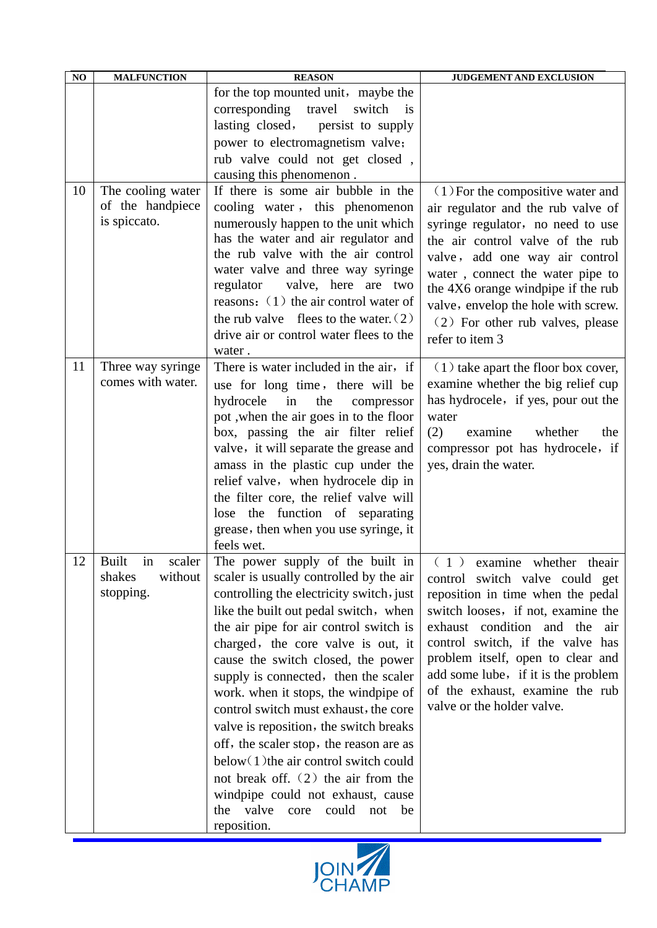| NO | <b>MALFUNCTION</b>                    | <b>REASON</b>                                                                 | <b>JUDGEMENT AND EXCLUSION</b>                                            |
|----|---------------------------------------|-------------------------------------------------------------------------------|---------------------------------------------------------------------------|
|    |                                       | for the top mounted unit, maybe the<br>corresponding<br>travel<br>switch is   |                                                                           |
|    |                                       | lasting closed,<br>persist to supply                                          |                                                                           |
|    |                                       | power to electromagnetism valve;                                              |                                                                           |
|    |                                       | rub valve could not get closed,                                               |                                                                           |
| 10 |                                       | causing this phenomenon.<br>If there is some air bubble in the                |                                                                           |
|    | The cooling water<br>of the handpiece | cooling water, this phenomenon                                                | $(1)$ For the compositive water and<br>air regulator and the rub valve of |
|    | is spiccato.                          | numerously happen to the unit which                                           | syringe regulator, no need to use                                         |
|    |                                       | has the water and air regulator and<br>the rub valve with the air control     | the air control valve of the rub                                          |
|    |                                       | water valve and three way syringe                                             | valve, add one way air control                                            |
|    |                                       | valve, here are two<br>regulator                                              | water, connect the water pipe to                                          |
|    |                                       | reasons: $(1)$ the air control water of                                       | the 4X6 orange windpipe if the rub<br>valve, envelop the hole with screw. |
|    |                                       | the rub valve flees to the water. $(2)$                                       | (2) For other rub valves, please                                          |
|    |                                       | drive air or control water flees to the                                       | refer to item 3                                                           |
|    |                                       | water.                                                                        |                                                                           |
| 11 | Three way syringe                     | There is water included in the air, if                                        | $(1)$ take apart the floor box cover,                                     |
|    | comes with water.                     | use for long time, there will be                                              | examine whether the big relief cup                                        |
|    |                                       | hydrocele<br>the<br>in<br>compressor                                          | has hydrocele, if yes, pour out the                                       |
|    |                                       | pot , when the air goes in to the floor                                       | water                                                                     |
|    |                                       | box, passing the air filter relief                                            | (2)<br>whether<br>examine<br>the                                          |
|    |                                       | valve, it will separate the grease and                                        | compressor pot has hydrocele, if                                          |
|    |                                       | amass in the plastic cup under the<br>relief valve, when hydrocele dip in     | yes, drain the water.                                                     |
|    |                                       | the filter core, the relief valve will                                        |                                                                           |
|    |                                       | lose the function of separating                                               |                                                                           |
|    |                                       | grease, then when you use syringe, it                                         |                                                                           |
|    |                                       | feels wet.                                                                    |                                                                           |
| 12 | <b>Built</b><br>in<br>scaler          | The power supply of the built in                                              | $(1)$ examine whether the air                                             |
|    | shakes<br>without                     | scaler is usually controlled by the air                                       | control switch valve could get                                            |
|    | stopping.                             | controlling the electricity switch, just                                      | reposition in time when the pedal                                         |
|    |                                       | like the built out pedal switch, when                                         | switch looses, if not, examine the                                        |
|    |                                       | the air pipe for air control switch is                                        | exhaust condition and the air                                             |
|    |                                       | charged, the core valve is out, it                                            | control switch, if the valve has                                          |
|    |                                       | cause the switch closed, the power                                            | problem itself, open to clear and<br>add some lube, if it is the problem  |
|    |                                       | supply is connected, then the scaler                                          | of the exhaust, examine the rub                                           |
|    |                                       | work. when it stops, the windpipe of<br>control switch must exhaust, the core | valve or the holder valve.                                                |
|    |                                       | valve is reposition, the switch breaks                                        |                                                                           |
|    |                                       | off, the scaler stop, the reason are as                                       |                                                                           |
|    |                                       | below(1) the air control switch could                                         |                                                                           |
|    |                                       | not break off. $(2)$ the air from the                                         |                                                                           |
|    |                                       | windpipe could not exhaust, cause                                             |                                                                           |
|    |                                       | valve<br>the<br>core<br>could<br>not<br>be                                    |                                                                           |
|    |                                       | reposition.                                                                   |                                                                           |

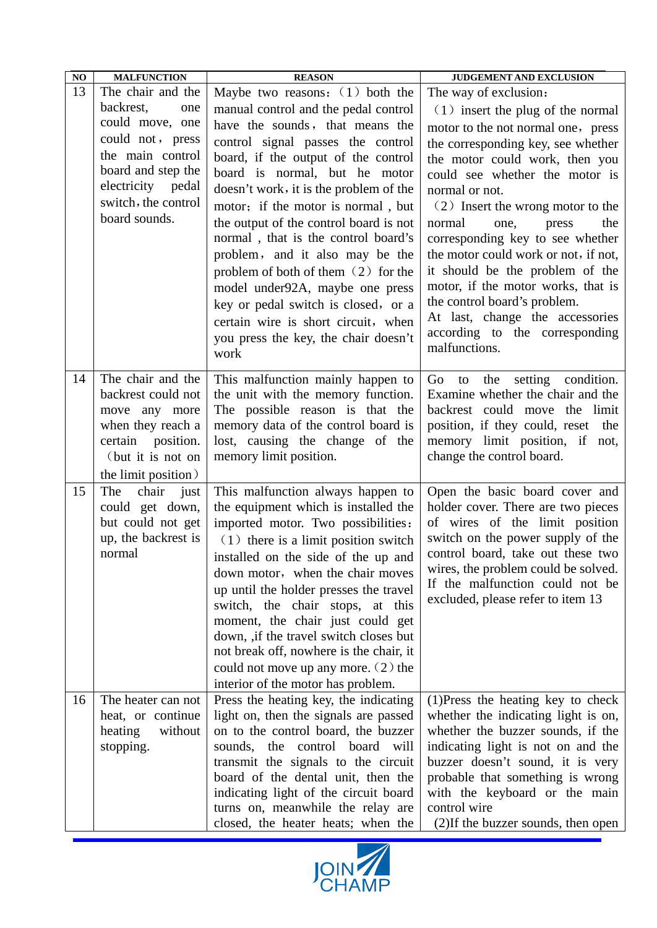| $\bf NO$ | <b>MALFUNCTION</b>                       | <b>REASON</b>                                                              | JUDGEMENT AND EXCLUSION                                             |
|----------|------------------------------------------|----------------------------------------------------------------------------|---------------------------------------------------------------------|
| 13       | The chair and the                        | Maybe two reasons: $(1)$ both the                                          | The way of exclusion:                                               |
|          | backrest,<br>one                         | manual control and the pedal control                                       | $(1)$ insert the plug of the normal                                 |
|          | could move, one                          | have the sounds, that means the                                            | motor to the not normal one, press                                  |
|          | could not, press                         | control signal passes the control                                          | the corresponding key, see whether                                  |
|          | the main control                         | board, if the output of the control                                        | the motor could work, then you                                      |
|          | board and step the                       | board is normal, but he motor                                              | could see whether the motor is                                      |
|          | electricity pedal                        | doesn't work, it is the problem of the                                     | normal or not.                                                      |
|          | switch, the control                      | motor; if the motor is normal, but                                         | (2) Insert the wrong motor to the                                   |
|          | board sounds.                            | the output of the control board is not                                     | normal<br>one,<br>the<br>press                                      |
|          |                                          | normal, that is the control board's                                        | corresponding key to see whether                                    |
|          |                                          | problem, and it also may be the                                            | the motor could work or not, if not,                                |
|          |                                          | problem of both of them (2) for the                                        | it should be the problem of the                                     |
|          |                                          | model under92A, maybe one press                                            | motor, if the motor works, that is                                  |
|          |                                          | key or pedal switch is closed, or a                                        | the control board's problem.                                        |
|          |                                          | certain wire is short circuit, when                                        | At last, change the accessories                                     |
|          |                                          | you press the key, the chair doesn't                                       | according to the corresponding<br>malfunctions.                     |
|          |                                          | work                                                                       |                                                                     |
| 14       | The chair and the                        | This malfunction mainly happen to                                          | the setting condition.<br>Go<br>to                                  |
|          | backrest could not                       | the unit with the memory function.                                         | Examine whether the chair and the                                   |
|          | move any more                            | The possible reason is that the                                            | backrest could move the limit                                       |
|          | when they reach a                        | memory data of the control board is                                        | position, if they could, reset the                                  |
|          | certain position.                        | lost, causing the change of the                                            | memory limit position, if not,                                      |
|          | (but it is not on                        | memory limit position.                                                     | change the control board.                                           |
|          | the limit position)                      |                                                                            |                                                                     |
| 15       | The<br>chair<br>just                     | This malfunction always happen to                                          | Open the basic board cover and                                      |
|          | could get down,                          | the equipment which is installed the                                       | holder cover. There are two pieces                                  |
|          | but could not get<br>up, the backrest is | imported motor. Two possibilities:                                         | of wires of the limit position<br>switch on the power supply of the |
|          | normal                                   | $(1)$ there is a limit position switch                                     | control board, take out these two                                   |
|          |                                          | installed on the side of the up and                                        | wires, the problem could be solved.                                 |
|          |                                          | down motor, when the chair moves                                           | If the malfunction could not be                                     |
|          |                                          | up until the holder presses the travel                                     | excluded, please refer to item 13                                   |
|          |                                          | switch, the chair stops, at this                                           |                                                                     |
|          |                                          | moment, the chair just could get<br>down, ,if the travel switch closes but |                                                                     |
|          |                                          | not break off, nowhere is the chair, it                                    |                                                                     |
|          |                                          | could not move up any more. $(2)$ the                                      |                                                                     |
|          |                                          | interior of the motor has problem.                                         |                                                                     |
| 16       | The heater can not                       | Press the heating key, the indicating                                      | $(1)$ Press the heating key to check                                |
|          | heat, or continue                        | light on, then the signals are passed                                      | whether the indicating light is on,                                 |
|          | heating<br>without                       | on to the control board, the buzzer                                        | whether the buzzer sounds, if the                                   |
|          | stopping.                                | sounds, the control board will                                             | indicating light is not on and the                                  |
|          |                                          | transmit the signals to the circuit                                        | buzzer doesn't sound, it is very                                    |
|          |                                          | board of the dental unit, then the                                         | probable that something is wrong                                    |
|          |                                          | indicating light of the circuit board                                      | with the keyboard or the main                                       |
|          |                                          | turns on, meanwhile the relay are                                          | control wire                                                        |
|          |                                          | closed, the heater heats; when the                                         | (2) If the buzzer sounds, then open                                 |